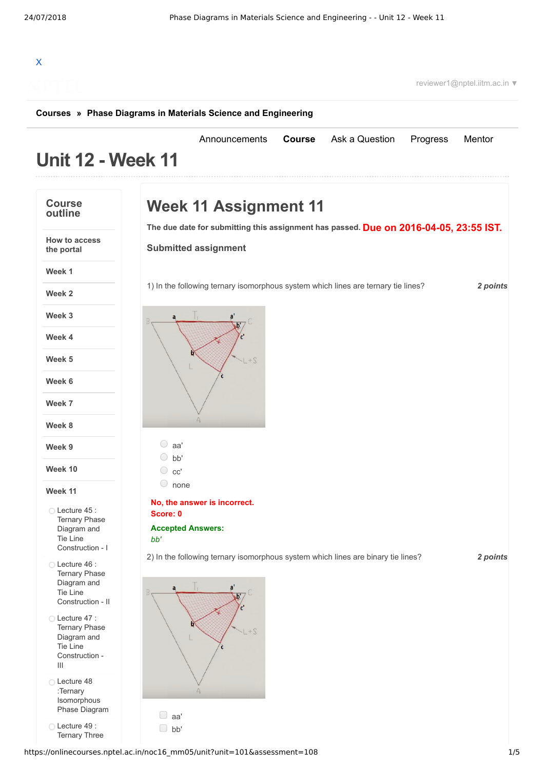## X

reviewer1@nptel.iitm.ac.in ▼

## **[Courses](https://onlinecourses.nptel.ac.in/) » [Phase Diagrams in Materials Science and Engineering](https://onlinecourses.nptel.ac.in/noc16_mm05/course)**

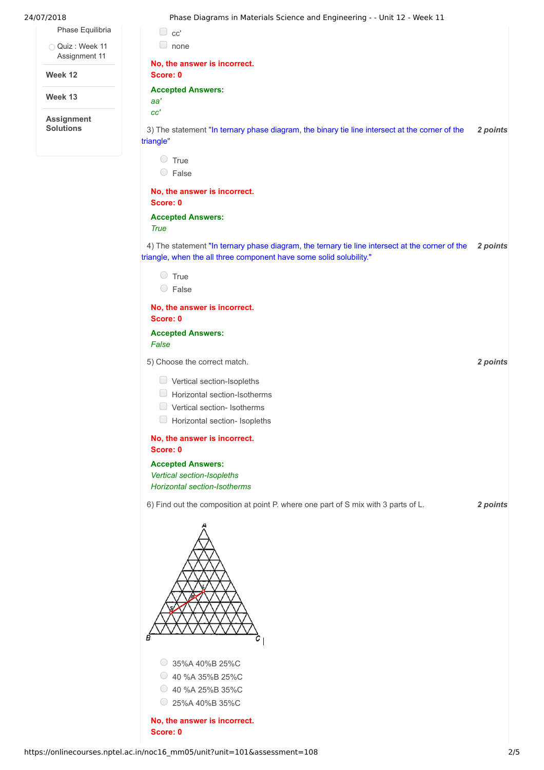|  | 24/07/2018                            | Phase Diagrams in Materials Science and Engineering - - Unit 12 - Week 11                                                                                              |          |
|--|---------------------------------------|------------------------------------------------------------------------------------------------------------------------------------------------------------------------|----------|
|  | Phase Equilibria                      | $\Box$ cc'                                                                                                                                                             |          |
|  | Quiz: Week 11<br>Assignment 11        | $\Box$ none                                                                                                                                                            |          |
|  | Week 12                               | No, the answer is incorrect.<br>Score: 0                                                                                                                               |          |
|  | Week 13                               | <b>Accepted Answers:</b><br>aa'                                                                                                                                        |          |
|  | <b>Assignment</b><br><b>Solutions</b> | cc'<br>3) The statement "In ternary phase diagram, the binary tie line intersect at the corner of the<br>triangle"                                                     | 2 points |
|  |                                       | $\circ$ True                                                                                                                                                           |          |
|  |                                       | $\circ$ False<br>No, the answer is incorrect.                                                                                                                          |          |
|  |                                       | Score: 0                                                                                                                                                               |          |
|  |                                       | <b>Accepted Answers:</b><br><b>True</b>                                                                                                                                |          |
|  |                                       | 4) The statement "In ternary phase diagram, the ternary tie line intersect at the corner of the<br>triangle, when the all three component have some solid solubility." | 2 points |
|  |                                       | $\circ$ True                                                                                                                                                           |          |
|  |                                       | $\circ$ False                                                                                                                                                          |          |
|  |                                       | No, the answer is incorrect.<br>Score: 0                                                                                                                               |          |
|  |                                       | <b>Accepted Answers:</b><br>False                                                                                                                                      |          |
|  |                                       | 5) Choose the correct match.                                                                                                                                           | 2 points |
|  |                                       | $\Box$ Vertical section-Isopleths<br>Horizontal section-Isotherms<br>$\Box$<br>$\Box$<br>Vertical section- Isotherms<br>Horizontal section- Isopleths                  |          |
|  |                                       | No, the answer is incorrect.<br>Score: 0                                                                                                                               |          |
|  |                                       | <b>Accepted Answers:</b><br>Vertical section-Isopleths<br><b>Horizontal section-Isotherms</b>                                                                          |          |
|  |                                       | 6) Find out the composition at point P. where one part of S mix with 3 parts of L.                                                                                     | 2 points |
|  |                                       |                                                                                                                                                                        |          |
|  |                                       | 35%A 40%B 25%C<br>40 %A 35%B 25%C<br>O<br>$\circ$ 40 %A 25%B 35%C<br>25%A 40%B 35%C                                                                                    |          |
|  |                                       | No, the answer is incorrect.                                                                                                                                           |          |

**Score: 0**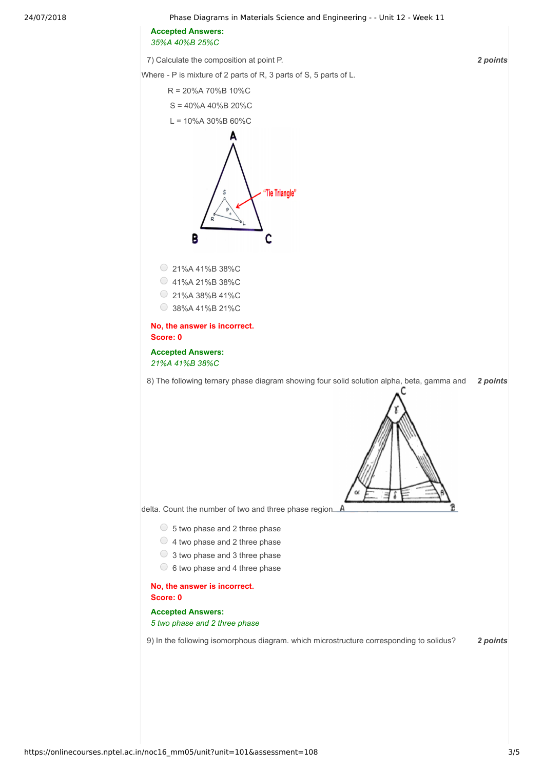24/07/2018 Phase Diagrams in Materials Science and Engineering - - Unit 12 - Week 11

**Accepted Answers:** *35%A 40%B 25%C*

7) *2 points* Calculate the composition at point P.

Where - P is mixture of 2 parts of R, 3 parts of S, 5 parts of L. R = 20%A 70%B 10%C S = 40%A 40%B 20%C  $L = 10%$ A 30%B 60%C "Tie Triangle" В C 21%A 41%B 38%C 41%A 21%B 38%C 21%A 38%B 41%C 38%A 41%B 21%C **No, the answer is incorrect. Score: 0 Accepted Answers:** *21%A 41%B 38%C* 8) *2 points* The following ternary phase diagram showing four solid solution alpha, beta, gamma and delta. Cou[n](https://onlinecourses.nptel.ac.in/noc16_mm05/assets/img/triangle%20phase.png)t the number of two and three phase region. A  $\circ$  5 two phase and 2 three phase  $\bigcirc$  4 two phase and 2 three phase 3 two phase and 3 three phase  $\circ$  6 two phase and 4 three phase **No, the answer is incorrect. Score: 0 Accepted Answers:** *5 two phase and 2 three phase* 9) In the following isomorphous diagram. which microstructure corresponding to solidus? **2 points**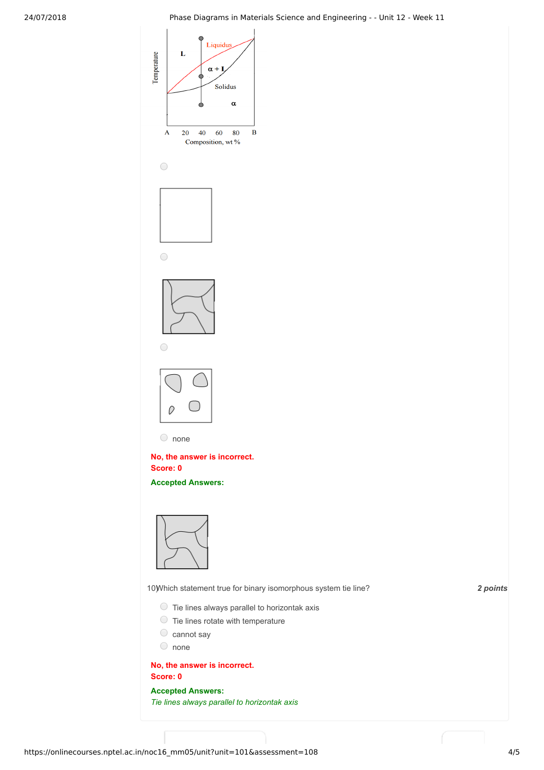

https://onlinecourses.nptel.ac.in/noc16\_mm05/unit?unit=101&assessment=108 4/5